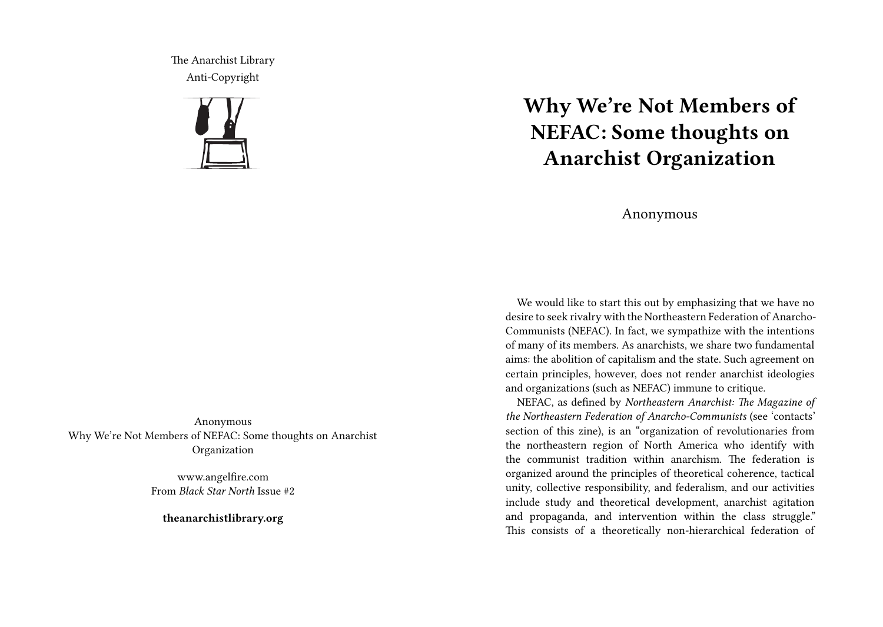The Anarchist Library Anti-Copyright



Anonymous Why We're Not Members of NEFAC: Some thoughts on Anarchist Organization

> www.angelfire.com From *Black Star North* Issue #2

**theanarchistlibrary.org**

## **Why We're Not Members of NEFAC: Some thoughts on Anarchist Organization**

## Anonymous

We would like to start this out by emphasizing that we have no desire to seek rivalry with the Northeastern Federation of Anarcho-Communists (NEFAC). In fact, we sympathize with the intentions of many of its members. As anarchists, we share two fundamental aims: the abolition of capitalism and the state. Such agreement on certain principles, however, does not render anarchist ideologies and organizations (such as NEFAC) immune to critique.

NEFAC, as defined by *Northeastern Anarchist: The Magazine of the Northeastern Federation of Anarcho-Communists* (see 'contacts' section of this zine), is an "organization of revolutionaries from the northeastern region of North America who identify with the communist tradition within anarchism. The federation is organized around the principles of theoretical coherence, tactical unity, collective responsibility, and federalism, and our activities include study and theoretical development, anarchist agitation and propaganda, and intervention within the class struggle." This consists of a theoretically non-hierarchical federation of